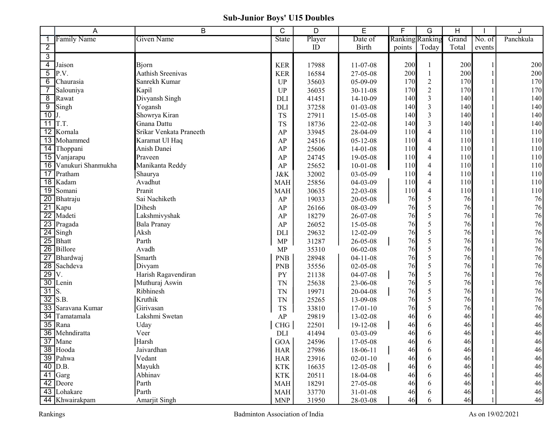## Sub-Junior Boys' U15 Doubles

|                 | A                     | B                       | C              | D      | E              | F                      | G              | Н     |        | J         |
|-----------------|-----------------------|-------------------------|----------------|--------|----------------|------------------------|----------------|-------|--------|-----------|
|                 | <b>Family Name</b>    | Given Name              | State          | Player | Date of        | <b>Ranking</b> Ranking |                | Grand | No. of | Panchkula |
| $\overline{2}$  |                       |                         |                | ID     | <b>Birth</b>   | points                 | Today          | Total | events |           |
| $\overline{3}$  |                       |                         |                |        |                |                        |                |       |        |           |
| $\overline{4}$  | Jaison                | Bjorn                   | <b>KER</b>     | 17988  | 11-07-08       | 200                    |                | 200   |        | 200       |
| $\overline{5}$  | P.V.                  | Aathish Sreenivas       | <b>KER</b>     | 16584  | 27-05-08       | 200                    |                | 200   |        | 200       |
| $\overline{6}$  | Chaurasia             | Sanrekh Kumar           | <b>UP</b>      | 35603  | 05-09-09       | 170                    | $\sqrt{2}$     | 170   |        | 170       |
| $\overline{7}$  | Salouniya             | Kapil                   | UP             | 36035  | $30 - 11 - 08$ | 170                    | $\overline{2}$ | 170   |        | 170       |
| $\overline{8}$  | Rawat                 | Divyansh Singh          | DLI            | 41451  | $14-10-09$     | 140                    | 3              | 140   |        | 140       |
| $\overline{9}$  | Singh                 | Yogansh                 | <b>DLI</b>     | 37258  | $01 - 03 - 08$ | 140                    | 3              | 140   |        | 140       |
| 10              |                       | Showrya Kiran           | <b>TS</b>      | 27911  | 15-05-08       | 140                    | 3              | 140   |        | 140       |
|                 | $11$ T.T.             | Gnana Dattu             | <b>TS</b>      | 18736  | 22-02-08       | 140                    | 3              | 140   |        | 140       |
|                 | 12 Kornala            | Srikar Venkata Praneeth | AP             | 33945  | 28-04-09       | 110                    | $\overline{4}$ | 110   |        | 110       |
|                 | 13 Mohammed           | Karamat Ul Haq          | AP             | 24516  | $05 - 12 - 08$ | 110                    | $\overline{4}$ | 110   |        | 110       |
|                 | 14 Thoppani           | Anish Danei             | AP             | 25606  | $14-01-08$     | 110                    | 4              | 110   |        | 110       |
|                 | 15 Vanjarapu          | Praveen                 | AP             | 24745  | 19-05-08       | 110                    | 4              | 110   |        | 110       |
|                 | 16 Vanukuri Shanmukha | Manikanta Reddy         | AP             | 25652  | $10 - 01 - 08$ | 110                    | 4              | 110   |        | 110       |
|                 | 17 Pratham            | Shaurya                 | <b>J&amp;K</b> | 32002  | $03 - 05 - 09$ | 110                    | $\overline{4}$ | 110   |        | 110       |
|                 | 18 Kadam              | Avadhut                 | <b>MAH</b>     | 25856  | 04-03-09       | 110                    | 4              | 110   |        | 110       |
| 19              | Somani                | Pranit                  | <b>MAH</b>     | 30635  | 22-03-08       | 110                    | 4              | 110   |        | $110\,$   |
| $\overline{20}$ | Bhatraju              | Sai Nachiketh           | AP             | 19033  | 20-05-08       | 76                     | 5              | 76    |        | 76        |
|                 | 21 Kapu               | Dihesh                  | AP             | 26166  | 08-03-09       | 76                     | 5              | 76    |        | 76        |
| $\overline{22}$ | Madeti                | Lakshmivyshak           | AP             | 18279  | 26-07-08       | 76                     | 5              | 76    |        | 76        |
|                 | 23 Pragada            | <b>Bala Pranay</b>      | AP             | 26052  | 15-05-08       | 76                     | 5              | 76    |        | 76        |
|                 | $\overline{24}$ Singh | Aksh                    | DLI            | 29632  | 12-02-09       | 76                     | 5              | 76    |        | 76        |
|                 | $\overline{25}$ Bhatt | Parth                   | MP             | 31287  | 26-05-08       | 76                     | 5              | 76    |        | 76        |
| $\overline{26}$ | Billore               | Avadh                   | <b>MP</b>      | 35310  | $06 - 02 - 08$ | 76                     | 5              | 76    |        | 76        |
| $\overline{27}$ | Bhardwaj              | Smarth                  | <b>PNB</b>     | 28948  | $04-11-08$     | 76                     | 5              | 76    |        | 76        |
| $\overline{28}$ | Sachdeva              | Divyam                  | <b>PNB</b>     | 35556  | $02 - 05 - 08$ | 76                     | 5              | 76    |        | 76        |
| $\overline{29}$ | V.                    | Harish Ragavendiran     | PY             | 21138  | $04-07-08$     | 76                     | 5              | 76    |        | 76        |
| $\overline{30}$ | Lenin                 | Muthuraj Aswin          | <b>TN</b>      | 25638  | 23-06-08       | 76                     | 5              | 76    |        | 76        |
| $\overline{31}$ | S.                    | Ribhinesh               | <b>TN</b>      | 19971  | 20-04-08       | 76                     | 5              | 76    |        | 76        |
| $\overline{32}$ | S.B.                  | Kruthik                 | <b>TN</b>      | 25265  | 13-09-08       | 76                     | 5              | 76    |        | 76        |
| $\overline{33}$ | Saravana Kumar        | Girivasan               | TS             | 33810  | $17 - 01 - 10$ | 76                     | 5              | 76    |        | 76        |
| 34              | Tamatamala            | Lakshmi Swetan          | AP             | 29819  | $13 - 02 - 08$ | 46                     | 6              | 46    |        | 46        |
|                 | $\overline{35}$ Rana  | Uday                    | CHG            | 22501  | $19 - 12 - 08$ | 46                     | 6              | 46    |        | 46        |
|                 | 36 Mehndiratta        | Veer                    | DLI            | 41494  | 03-03-09       | 46                     | 6              | 46    |        | 46        |
|                 | 37 Mane               | Harsh                   | GOA            | 24596  | 17-05-08       | 46                     | 6              | 46    |        | 46        |
|                 | 38 Hooda              | Jaivardhan              | <b>HAR</b>     | 27986  | 18-06-11       | 46                     | 6              | 46    |        | 46        |
|                 | 39 Pahwa              | Vedant                  | <b>HAR</b>     | 23916  | $02 - 01 - 10$ | 46                     | 6              | 46    |        | 46        |
|                 | 40 D.B.               | Mayukh                  | <b>KTK</b>     | 16635  | 12-05-08       | 46                     | 6              | 46    |        | 46        |
|                 | $41$ Garg             | Abhinav                 | <b>KTK</b>     | 20511  | 18-04-08       | 46                     | 6              | 46    |        | 46        |
|                 | 42 Deore              | Parth                   | <b>MAH</b>     | 18291  | 27-05-08       | 46                     | 6              | 46    |        | 46        |
|                 | 43 Lohakare           | Parth                   | <b>MAH</b>     | 33770  | $31 - 01 - 08$ | 46                     | 6              | 46    |        | 46        |
|                 | 44 Khwairakpam        | Amarjit Singh           | <b>MNP</b>     | 31950  | 28-03-08       | 46                     | 6              | 46    |        | 46        |